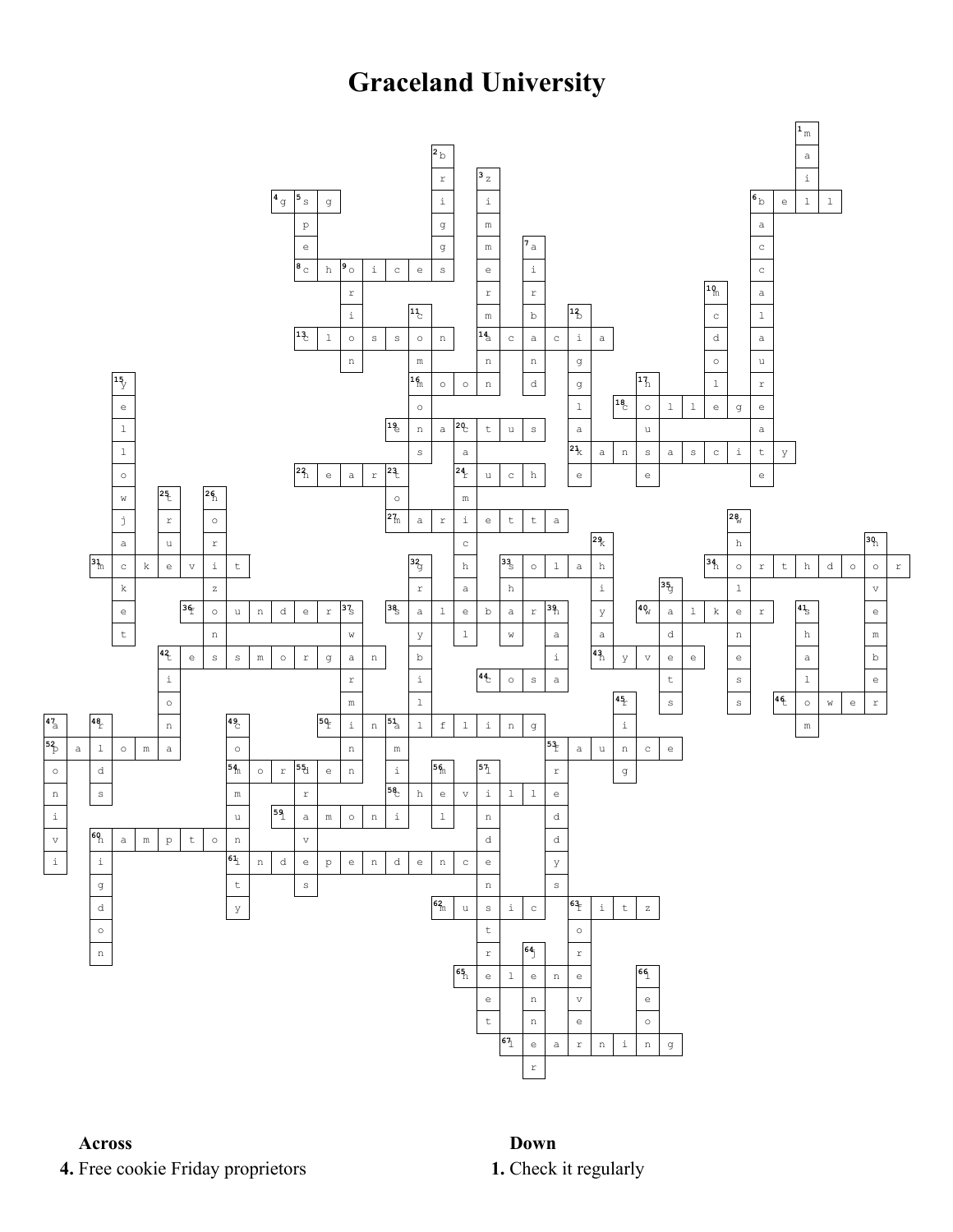## **Graceland University**